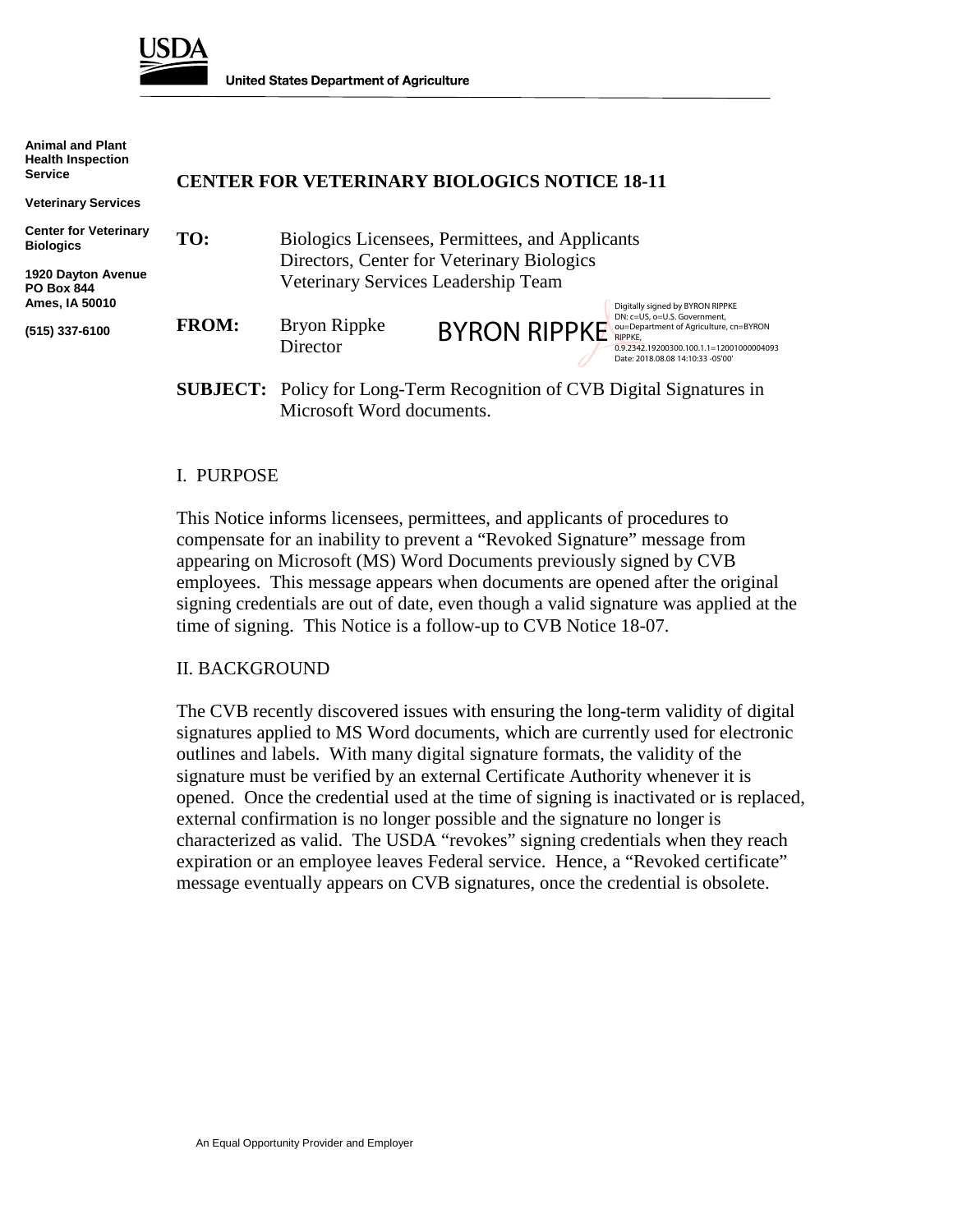

**United States Department of Agriculture** 

| <b>Animal and Plant</b><br><b>Health Inspection</b><br><b>Service</b>  | <b>CENTER FOR VETERINARY BIOLOGICS NOTICE 18-11</b> |                                                                                               |                                                                               |                                                                                                                                                                                                        |
|------------------------------------------------------------------------|-----------------------------------------------------|-----------------------------------------------------------------------------------------------|-------------------------------------------------------------------------------|--------------------------------------------------------------------------------------------------------------------------------------------------------------------------------------------------------|
| <b>Veterinary Services</b>                                             |                                                     |                                                                                               |                                                                               |                                                                                                                                                                                                        |
| <b>Center for Veterinary</b><br><b>Biologics</b><br>1920 Dayton Avenue | TO:                                                 | Biologics Licensees, Permittees, and Applicants<br>Directors, Center for Veterinary Biologics |                                                                               |                                                                                                                                                                                                        |
| <b>PO Box 844</b><br>Ames, IA 50010                                    |                                                     | Veterinary Services Leadership Team                                                           |                                                                               |                                                                                                                                                                                                        |
| (515) 337-6100                                                         | <b>FROM:</b>                                        | Bryon Rippke<br>Director                                                                      | <b>BYRON RIPPKE</b>                                                           | Digitally signed by BYRON RIPPKE<br>DN: c=US, o=U.S. Government,<br>ou=Department of Agriculture, cn=BYRON<br>RIPPKE.<br>0.9.2342.19200300.100.1.1=12001000004093<br>Date: 2018.08.08 14:10:33 -05'00' |
|                                                                        |                                                     |                                                                                               | <b>SUBJECT:</b> Policy for Long-Term Recognition of CVB Digital Signatures in |                                                                                                                                                                                                        |

# **SUBJECT:** Policy for Long-Term Recognition of CVB Digital Signatures in Microsoft Word documents.

#### I. PURPOSE

This Notice informs licensees, permittees, and applicants of procedures to compensate for an inability to prevent a "Revoked Signature" message from appearing on Microsoft (MS) Word Documents previously signed by CVB employees. This message appears when documents are opened after the original signing credentials are out of date, even though a valid signature was applied at the time of signing. This Notice is a follow-up to CVB Notice 18-07.

#### II. BACKGROUND

The CVB recently discovered issues with ensuring the long-term validity of digital signatures applied to MS Word documents, which are currently used for electronic outlines and labels. With many digital signature formats, the validity of the signature must be verified by an external Certificate Authority whenever it is opened. Once the credential used at the time of signing is inactivated or is replaced, external confirmation is no longer possible and the signature no longer is characterized as valid. The USDA "revokes" signing credentials when they reach expiration or an employee leaves Federal service. Hence, a "Revoked certificate" message eventually appears on CVB signatures, once the credential is obsolete.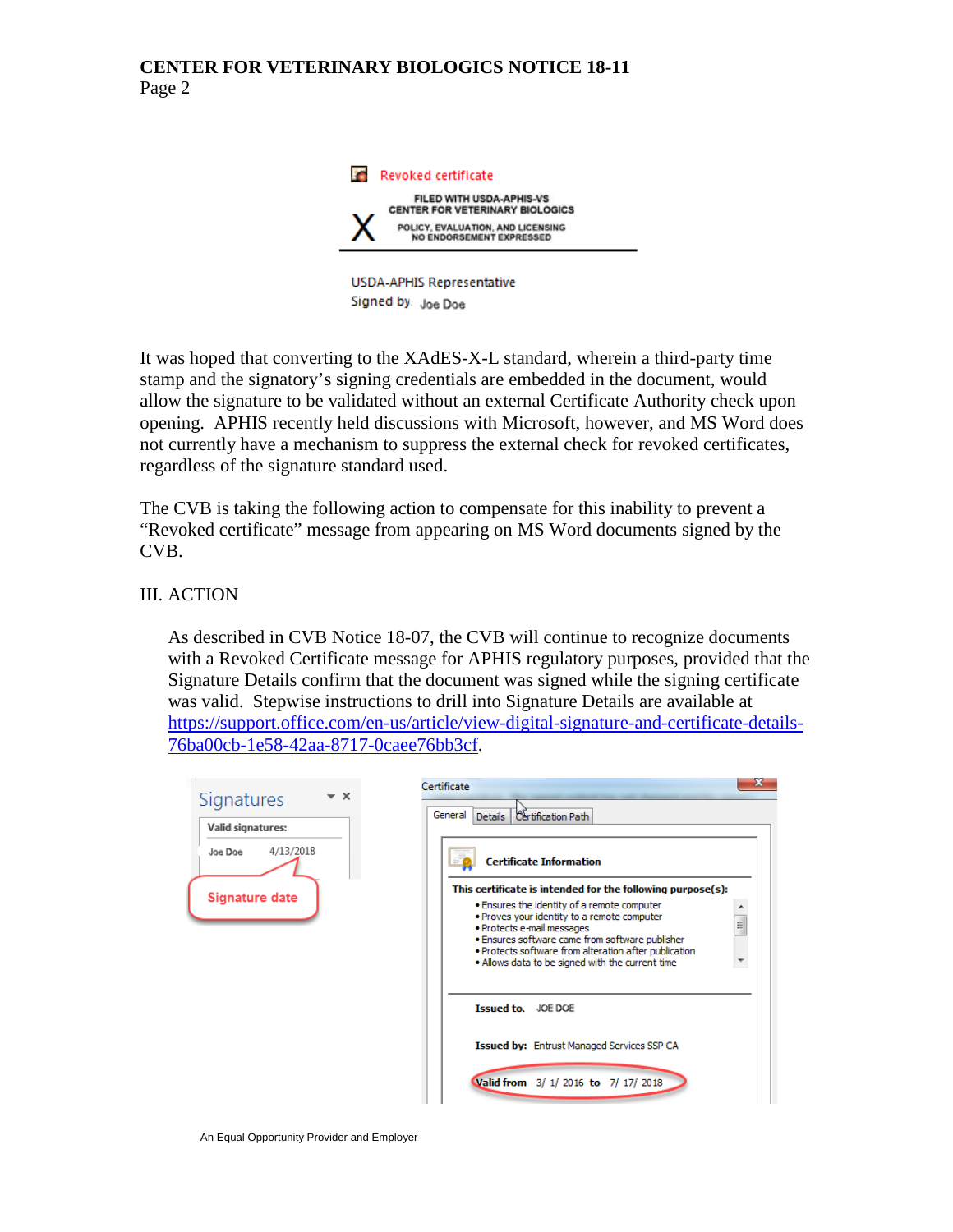## **CENTER FOR VETERINARY BIOLOGICS NOTICE 18-11** Page 2



**USDA-APHIS Representative** Signed by Joe Doe

It was hoped that converting to the XAdES-X-L standard, wherein a third-party time stamp and the signatory's signing credentials are embedded in the document, would allow the signature to be validated without an external Certificate Authority check upon opening. APHIS recently held discussions with Microsoft, however, and MS Word does not currently have a mechanism to suppress the external check for revoked certificates, regardless of the signature standard used.

The CVB is taking the following action to compensate for this inability to prevent a "Revoked certificate" message from appearing on MS Word documents signed by the CVB.

III. ACTION

As described in CVB Notice 18-07, the CVB will continue to recognize documents with a Revoked Certificate message for APHIS regulatory purposes, provided that the Signature Details confirm that the document was signed while the signing certificate was valid. Stepwise instructions to drill into Signature Details are available at [https://support.office.com/en-us/article/view-digital-signature-and-certificate-details-](https://support.office.com/en-us/article/view-digital-signature-and-certificate-details-76ba00cb-1e58-42aa-8717-0caee76bb3cf)[76ba00cb-1e58-42aa-8717-0caee76bb3cf.](https://support.office.com/en-us/article/view-digital-signature-and-certificate-details-76ba00cb-1e58-42aa-8717-0caee76bb3cf)

| Signatures<br>Valid signatures: | General<br>Certification Path<br>Details                                                                                                                                                                                                                                                       |
|---------------------------------|------------------------------------------------------------------------------------------------------------------------------------------------------------------------------------------------------------------------------------------------------------------------------------------------|
| 4/13/2018<br>Joë Doë            | <b>Certificate Information</b>                                                                                                                                                                                                                                                                 |
|                                 | This certificate is intended for the following purpose(s):                                                                                                                                                                                                                                     |
| <b>Signature date</b>           | . Ensures the identity of a remote computer<br>. Proves your identity to a remote computer<br>E.<br>· Protects e-mail messages<br>. Ensures software came from software publisher<br>. Protects software from alteration after publication<br>. Allows data to be signed with the current time |
|                                 | <b>Issued to.</b> JOE DOE                                                                                                                                                                                                                                                                      |
|                                 | <b>Issued by:</b> Entrust Managed Services SSP CA                                                                                                                                                                                                                                              |
|                                 | Valid from 3/ 1/ 2016 to 7/ 17/ 2018                                                                                                                                                                                                                                                           |